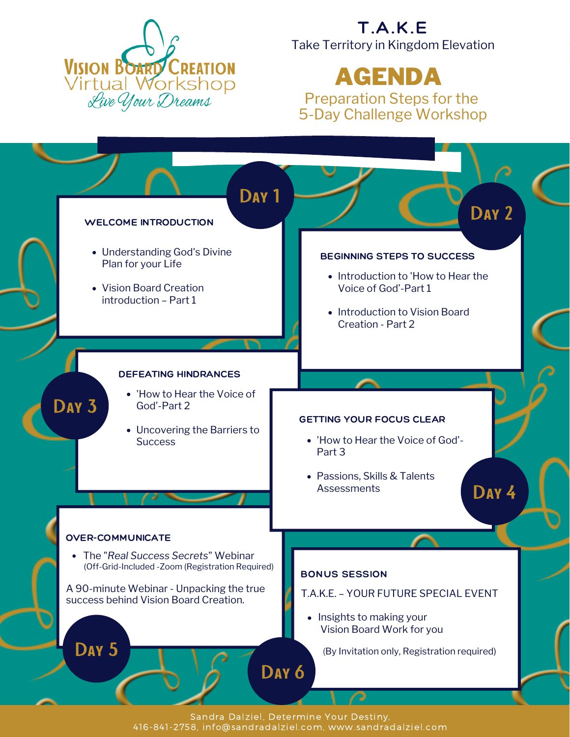

#### T.A.K.E Take Territory in Kingdom Elevation

# AGENDA

Preparation Steps for the 5-Day Challenge Workshop



Sandra Dalziel, Determine Your Destiny, 416-841-2758, info@sandradalziel.com, www.sandradalziel.com